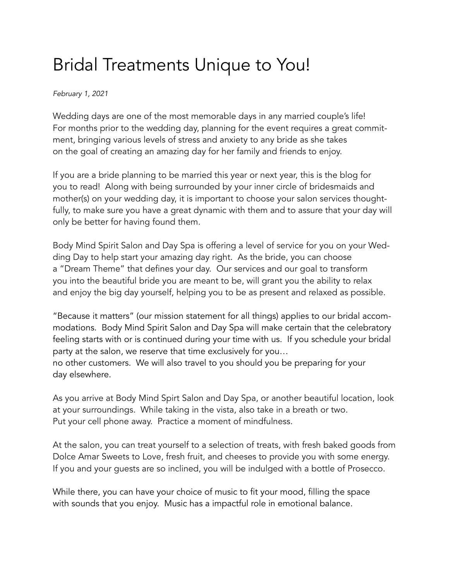## Bridal Treatments Unique to You!

*February 1, 2021*

Wedding days are one of the most memorable days in any married couple's life! For months prior to the wedding day, planning for the event requires a great commitment, bringing various levels of stress and anxiety to any bride as she takes on the goal of creating an amazing day for her family and friends to enjoy.

If you are a bride planning to be married this year or next year, this is the blog for you to read! Along with being surrounded by your inner circle of bridesmaids and mother(s) on your wedding day, it is important to choose your salon services thoughtfully, to make sure you have a great dynamic with them and to assure that your day will only be better for having found them.

Body Mind Spirit Salon and Day Spa is offering a level of service for you on your Wedding Day to help start your amazing day right. As the bride, you can choose a "Dream Theme" that defines your day. Our services and our goal to transform you into the beautiful bride you are meant to be, will grant you the ability to relax and enjoy the big day yourself, helping you to be as present and relaxed as possible.

"Because it matters" (our mission statement for all things) applies to our bridal accommodations. Body Mind Spirit Salon and Day Spa will make certain that the celebratory feeling starts with or is continued during your time with us. If you schedule your bridal party at the salon, we reserve that time exclusively for you…

no other customers. We will also travel to you should you be preparing for your day elsewhere.

As you arrive at Body Mind Spirt Salon and Day Spa, or another beautiful location, look at your surroundings. While taking in the vista, also take in a breath or two. Put your cell phone away. Practice a moment of mindfulness.

At the salon, you can treat yourself to a selection of treats, with fresh baked goods from Dolce Amar Sweets to Love, fresh fruit, and cheeses to provide you with some energy. If you and your guests are so inclined, you will be indulged with a bottle of Prosecco.

While there, you can have your choice of music to fit your mood, filling the space with sounds that you enjoy. Music has a impactful role in emotional balance.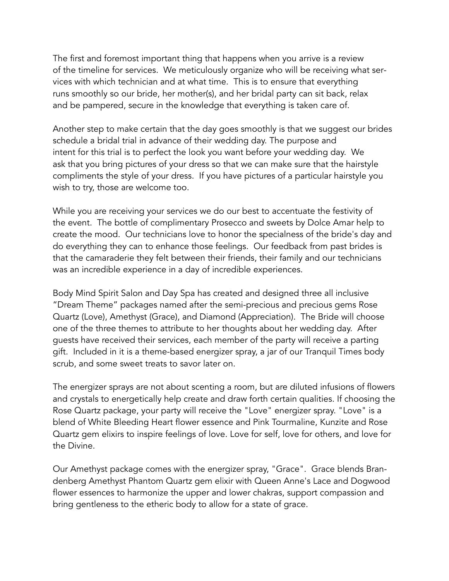The first and foremost important thing that happens when you arrive is a review of the timeline for services. We meticulously organize who will be receiving what services with which technician and at what time. This is to ensure that everything runs smoothly so our bride, her mother(s), and her bridal party can sit back, relax and be pampered, secure in the knowledge that everything is taken care of.

Another step to make certain that the day goes smoothly is that we suggest our brides schedule a bridal trial in advance of their wedding day. The purpose and intent for this trial is to perfect the look you want before your wedding day. We ask that you bring pictures of your dress so that we can make sure that the hairstyle compliments the style of your dress. If you have pictures of a particular hairstyle you wish to try, those are welcome too.

While you are receiving your services we do our best to accentuate the festivity of the event. The bottle of complimentary Prosecco and sweets by Dolce Amar help to create the mood. Our technicians love to honor the specialness of the bride's day and do everything they can to enhance those feelings. Our feedback from past brides is that the camaraderie they felt between their friends, their family and our technicians was an incredible experience in a day of incredible experiences.

Body Mind Spirit Salon and Day Spa has created and designed three all inclusive "Dream Theme" packages named after the semi-precious and precious gems Rose Quartz (Love), Amethyst (Grace), and Diamond (Appreciation). The Bride will choose one of the three themes to attribute to her thoughts about her wedding day. After guests have received their services, each member of the party will receive a parting gift. Included in it is a theme-based energizer spray, a jar of our Tranquil Times body scrub, and some sweet treats to savor later on.

The energizer sprays are not about scenting a room, but are diluted infusions of flowers and crystals to energetically help create and draw forth certain qualities. If choosing the Rose Quartz package, your party will receive the "Love" energizer spray. "Love" is a blend of White Bleeding Heart flower essence and Pink Tourmaline, Kunzite and Rose Quartz gem elixirs to inspire feelings of love. Love for self, love for others, and love for the Divine.

Our Amethyst package comes with the energizer spray, "Grace". Grace blends Brandenberg Amethyst Phantom Quartz gem elixir with Queen Anne's Lace and Dogwood flower essences to harmonize the upper and lower chakras, support compassion and bring gentleness to the etheric body to allow for a state of grace.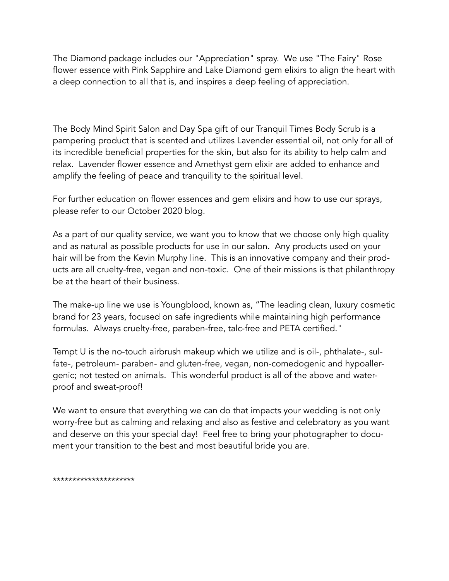The Diamond package includes our "Appreciation" spray. We use "The Fairy" Rose flower essence with Pink Sapphire and Lake Diamond gem elixirs to align the heart with a deep connection to all that is, and inspires a deep feeling of appreciation.

The Body Mind Spirit Salon and Day Spa gift of our Tranquil Times Body Scrub is a pampering product that is scented and utilizes Lavender essential oil, not only for all of its incredible beneficial properties for the skin, but also for its ability to help calm and relax. Lavender flower essence and Amethyst gem elixir are added to enhance and amplify the feeling of peace and tranquility to the spiritual level.

For further education on flower essences and gem elixirs and how to use our sprays, please refer to our October 2020 blog.

As a part of our quality service, we want you to know that we choose only high quality and as natural as possible products for use in our salon. Any products used on your hair will be from the Kevin Murphy line. This is an innovative company and their products are all cruelty-free, vegan and non-toxic. One of their missions is that philanthropy be at the heart of their business.

The make-up line we use is Youngblood, known as, "The leading clean, luxury cosmetic brand for 23 years, focused on safe ingredients while maintaining high performance formulas. Always cruelty-free, paraben-free, talc-free and PETA certified."

Tempt U is the no-touch airbrush makeup which we utilize and is oil-, phthalate-, sulfate-, petroleum- paraben- and gluten-free, vegan, non-comedogenic and hypoallergenic; not tested on animals. This wonderful product is all of the above and waterproof and sweat-proof!

We want to ensure that everything we can do that impacts your wedding is not only worry-free but as calming and relaxing and also as festive and celebratory as you want and deserve on this your special day! Feel free to bring your photographer to document your transition to the best and most beautiful bride you are.

\*\*\*\*\*\*\*\*\*\*\*\*\*\*\*\*\*\*\*\*\*